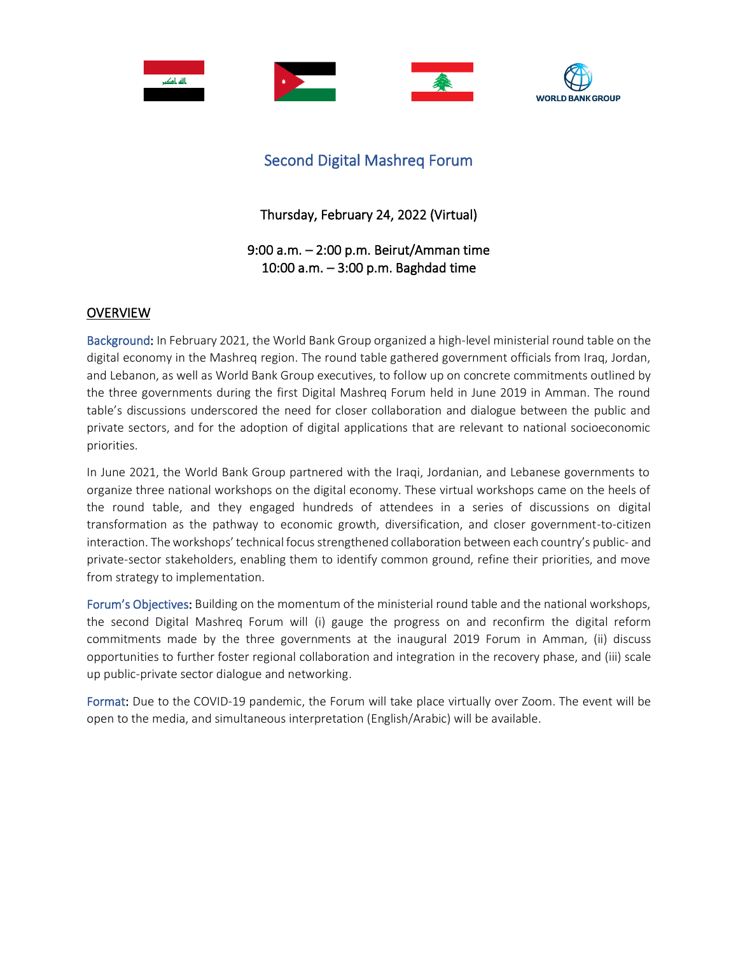







# Second Digital Mashreq Forum

Thursday, February 24, 2022 (Virtual)

# 9:00 a.m. – 2:00 p.m. Beirut/Amman time 10:00 a.m. – 3:00 p.m. Baghdad time

# **OVERVIEW**

Background: In February 2021, the World Bank Group organized a high-level ministerial round table on the digital economy in the Mashreq region. The round table gathered government officials from Iraq, Jordan, and Lebanon, as well as World Bank Group executives, to follow up on concrete commitments outlined by the three governments during the first Digital Mashreq Forum held in June 2019 in Amman. The round table's discussions underscored the need for closer collaboration and dialogue between the public and private sectors, and for the adoption of digital applications that are relevant to national socioeconomic priorities.

In June 2021, the World Bank Group partnered with the Iraqi, Jordanian, and Lebanese governments to organize three national workshops on the digital economy. These virtual workshops came on the heels of the round table, and they engaged hundreds of attendees in a series of discussions on digital transformation as the pathway to economic growth, diversification, and closer government-to-citizen interaction. The workshops' technical focus strengthened collaboration between each country's public- and private-sector stakeholders, enabling them to identify common ground, refine their priorities, and move from strategy to implementation.

Forum's Objectives: Building on the momentum of the ministerial round table and the national workshops, the second Digital Mashreq Forum will (i) gauge the progress on and reconfirm the digital reform commitments made by the three governments at the inaugural 2019 Forum in Amman, (ii) discuss opportunities to further foster regional collaboration and integration in the recovery phase, and (iii) scale up public-private sector dialogue and networking.

Format: Due to the COVID-19 pandemic, the Forum will take place virtually over Zoom. The event will be open to the media, and simultaneous interpretation (English/Arabic) will be available.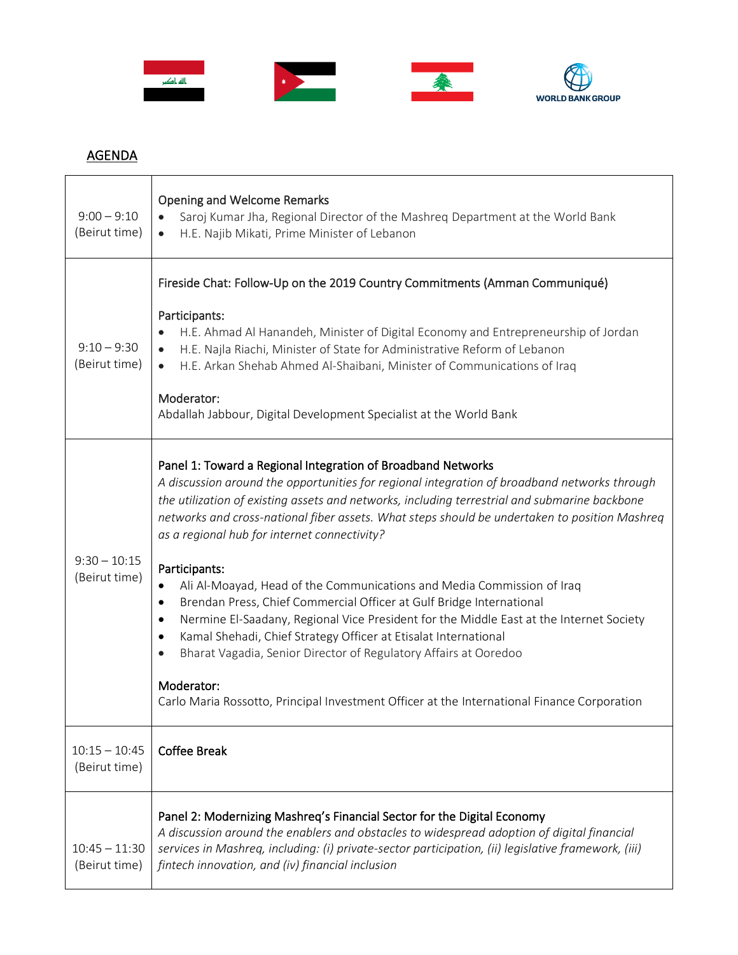







# AGENDA

| $9:00 - 9:10$<br>(Beirut time)   | <b>Opening and Welcome Remarks</b><br>Saroj Kumar Jha, Regional Director of the Mashreq Department at the World Bank<br>$\bullet$<br>H.E. Najib Mikati, Prime Minister of Lebanon<br>$\bullet$                                                                                                                                                                                                                                                                                                                                                                                                                                                                                                                                                                                                                                                                                                                                                                                    |
|----------------------------------|-----------------------------------------------------------------------------------------------------------------------------------------------------------------------------------------------------------------------------------------------------------------------------------------------------------------------------------------------------------------------------------------------------------------------------------------------------------------------------------------------------------------------------------------------------------------------------------------------------------------------------------------------------------------------------------------------------------------------------------------------------------------------------------------------------------------------------------------------------------------------------------------------------------------------------------------------------------------------------------|
| $9:10 - 9:30$<br>(Beirut time)   | Fireside Chat: Follow-Up on the 2019 Country Commitments (Amman Communiqué)<br>Participants:<br>H.E. Ahmad Al Hanandeh, Minister of Digital Economy and Entrepreneurship of Jordan<br>$\bullet$<br>H.E. Najla Riachi, Minister of State for Administrative Reform of Lebanon<br>$\bullet$<br>H.E. Arkan Shehab Ahmed Al-Shaibani, Minister of Communications of Iraq<br>$\bullet$<br>Moderator:<br>Abdallah Jabbour, Digital Development Specialist at the World Bank                                                                                                                                                                                                                                                                                                                                                                                                                                                                                                             |
| $9:30 - 10:15$<br>(Beirut time)  | Panel 1: Toward a Regional Integration of Broadband Networks<br>A discussion around the opportunities for regional integration of broadband networks through<br>the utilization of existing assets and networks, including terrestrial and submarine backbone<br>networks and cross-national fiber assets. What steps should be undertaken to position Mashreq<br>as a regional hub for internet connectivity?<br>Participants:<br>Ali Al-Moayad, Head of the Communications and Media Commission of Iraq<br>٠<br>Brendan Press, Chief Commercial Officer at Gulf Bridge International<br>$\bullet$<br>Nermine El-Saadany, Regional Vice President for the Middle East at the Internet Society<br>٠<br>Kamal Shehadi, Chief Strategy Officer at Etisalat International<br>$\bullet$<br>Bharat Vagadia, Senior Director of Regulatory Affairs at Ooredoo<br>$\bullet$<br>Moderator:<br>Carlo Maria Rossotto, Principal Investment Officer at the International Finance Corporation |
| $10:15 - 10:45$<br>(Beirut time) | <b>Coffee Break</b>                                                                                                                                                                                                                                                                                                                                                                                                                                                                                                                                                                                                                                                                                                                                                                                                                                                                                                                                                               |
| $10:45 - 11:30$<br>(Beirut time) | Panel 2: Modernizing Mashreq's Financial Sector for the Digital Economy<br>A discussion around the enablers and obstacles to widespread adoption of digital financial<br>services in Mashreq, including: (i) private-sector participation, (ii) legislative framework, (iii)<br>fintech innovation, and (iv) financial inclusion                                                                                                                                                                                                                                                                                                                                                                                                                                                                                                                                                                                                                                                  |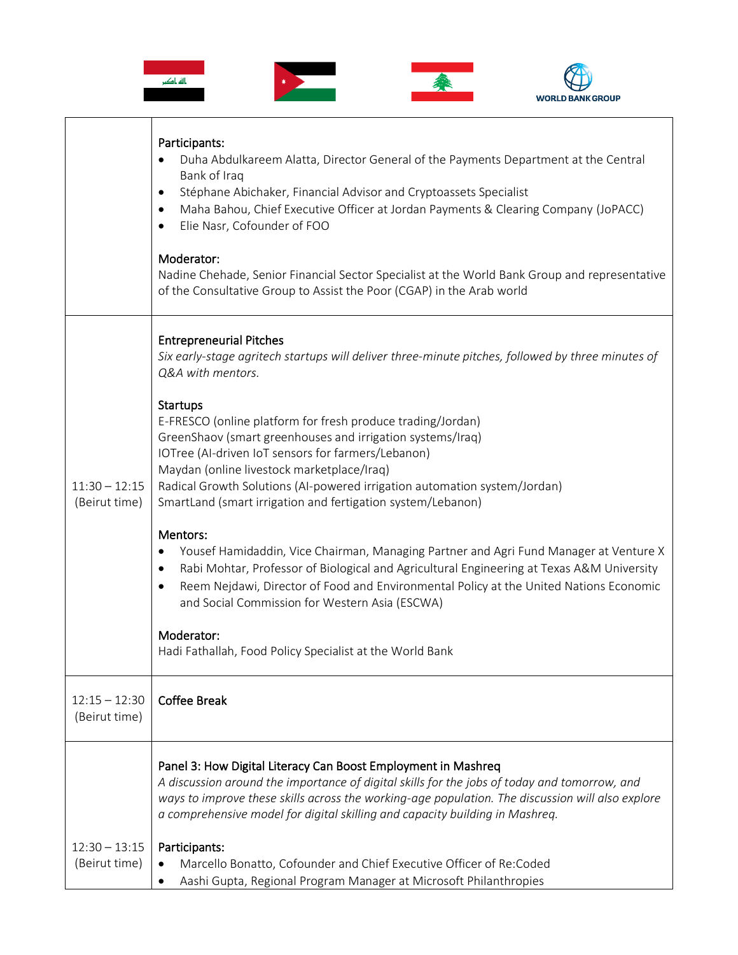







|                                  | Participants:<br>Duha Abdulkareem Alatta, Director General of the Payments Department at the Central<br>٠<br>Bank of Iraq<br>Stéphane Abichaker, Financial Advisor and Cryptoassets Specialist<br>$\bullet$<br>Maha Bahou, Chief Executive Officer at Jordan Payments & Clearing Company (JoPACC)<br>٠<br>Elie Nasr, Cofounder of FOO<br>$\bullet$<br>Moderator:<br>Nadine Chehade, Senior Financial Sector Specialist at the World Bank Group and representative<br>of the Consultative Group to Assist the Poor (CGAP) in the Arab world |
|----------------------------------|--------------------------------------------------------------------------------------------------------------------------------------------------------------------------------------------------------------------------------------------------------------------------------------------------------------------------------------------------------------------------------------------------------------------------------------------------------------------------------------------------------------------------------------------|
| $11:30 - 12:15$<br>(Beirut time) | <b>Entrepreneurial Pitches</b><br>Six early-stage agritech startups will deliver three-minute pitches, followed by three minutes of<br>Q&A with mentors.                                                                                                                                                                                                                                                                                                                                                                                   |
|                                  | <b>Startups</b><br>E-FRESCO (online platform for fresh produce trading/Jordan)<br>GreenShaov (smart greenhouses and irrigation systems/Iraq)<br>IOTree (AI-driven IoT sensors for farmers/Lebanon)<br>Maydan (online livestock marketplace/Iraq)<br>Radical Growth Solutions (AI-powered irrigation automation system/Jordan)<br>SmartLand (smart irrigation and fertigation system/Lebanon)                                                                                                                                               |
|                                  | Mentors:<br>Yousef Hamidaddin, Vice Chairman, Managing Partner and Agri Fund Manager at Venture X<br>٠<br>Rabi Mohtar, Professor of Biological and Agricultural Engineering at Texas A&M University<br>$\bullet$<br>Reem Nejdawi, Director of Food and Environmental Policy at the United Nations Economic<br>$\bullet$<br>and Social Commission for Western Asia (ESCWA)                                                                                                                                                                  |
|                                  | Moderator:<br>Hadi Fathallah, Food Policy Specialist at the World Bank                                                                                                                                                                                                                                                                                                                                                                                                                                                                     |
| $12:15 - 12:30$<br>(Beirut time) | <b>Coffee Break</b>                                                                                                                                                                                                                                                                                                                                                                                                                                                                                                                        |
|                                  | Panel 3: How Digital Literacy Can Boost Employment in Mashreq<br>A discussion around the importance of digital skills for the jobs of today and tomorrow, and<br>ways to improve these skills across the working-age population. The discussion will also explore<br>a comprehensive model for digital skilling and capacity building in Mashreq.                                                                                                                                                                                          |
| $12:30 - 13:15$<br>(Beirut time) | Participants:<br>Marcello Bonatto, Cofounder and Chief Executive Officer of Re:Coded<br>$\bullet$<br>Aashi Gupta, Regional Program Manager at Microsoft Philanthropies                                                                                                                                                                                                                                                                                                                                                                     |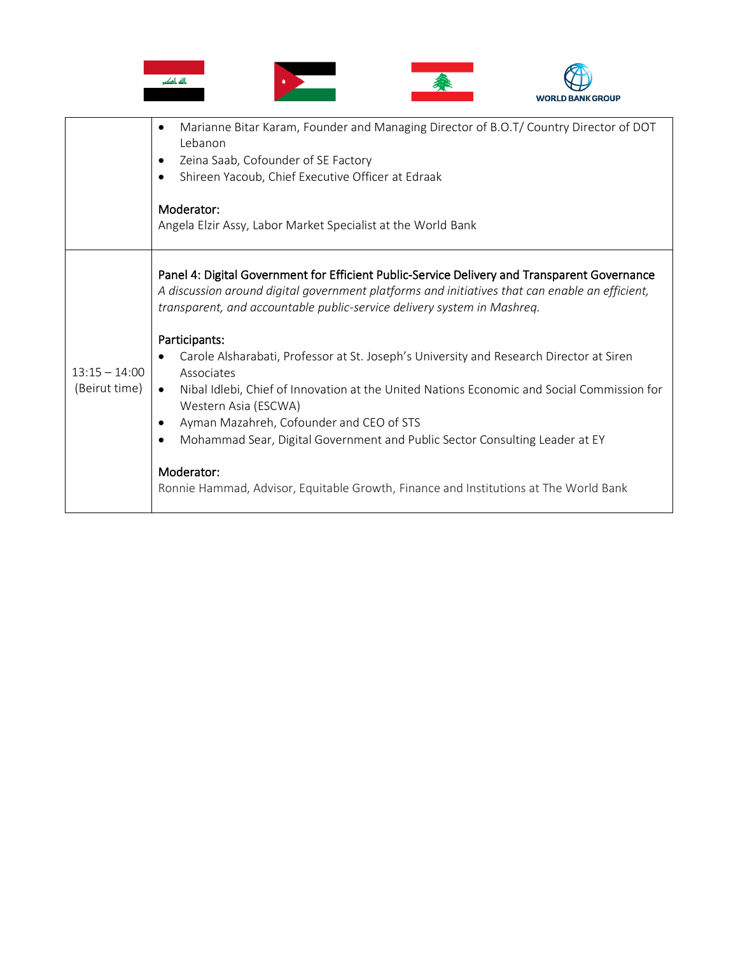







|                                  | Marianne Bitar Karam, Founder and Managing Director of B.O.T/ Country Director of DOT<br>٠<br>Lebanon<br>Zeina Saab, Cofounder of SE Factory<br>$\bullet$<br>Shireen Yacoub, Chief Executive Officer at Edraak<br>$\bullet$                                                                                                                                                      |
|----------------------------------|----------------------------------------------------------------------------------------------------------------------------------------------------------------------------------------------------------------------------------------------------------------------------------------------------------------------------------------------------------------------------------|
|                                  | Moderator:<br>Angela Elzir Assy, Labor Market Specialist at the World Bank                                                                                                                                                                                                                                                                                                       |
|                                  | Panel 4: Digital Government for Efficient Public-Service Delivery and Transparent Governance<br>A discussion around digital government platforms and initiatives that can enable an efficient,<br>transparent, and accountable public-service delivery system in Mashreq.<br>Participants:                                                                                       |
| $13:15 - 14:00$<br>(Beirut time) | Carole Alsharabati, Professor at St. Joseph's University and Research Director at Siren<br>Associates<br>Nibal Idlebi, Chief of Innovation at the United Nations Economic and Social Commission for<br>$\bullet$<br>Western Asia (ESCWA)<br>Ayman Mazahreh, Cofounder and CEO of STS<br>$\bullet$<br>Mohammad Sear, Digital Government and Public Sector Consulting Leader at EY |
|                                  | Moderator:<br>Ronnie Hammad, Advisor, Equitable Growth, Finance and Institutions at The World Bank                                                                                                                                                                                                                                                                               |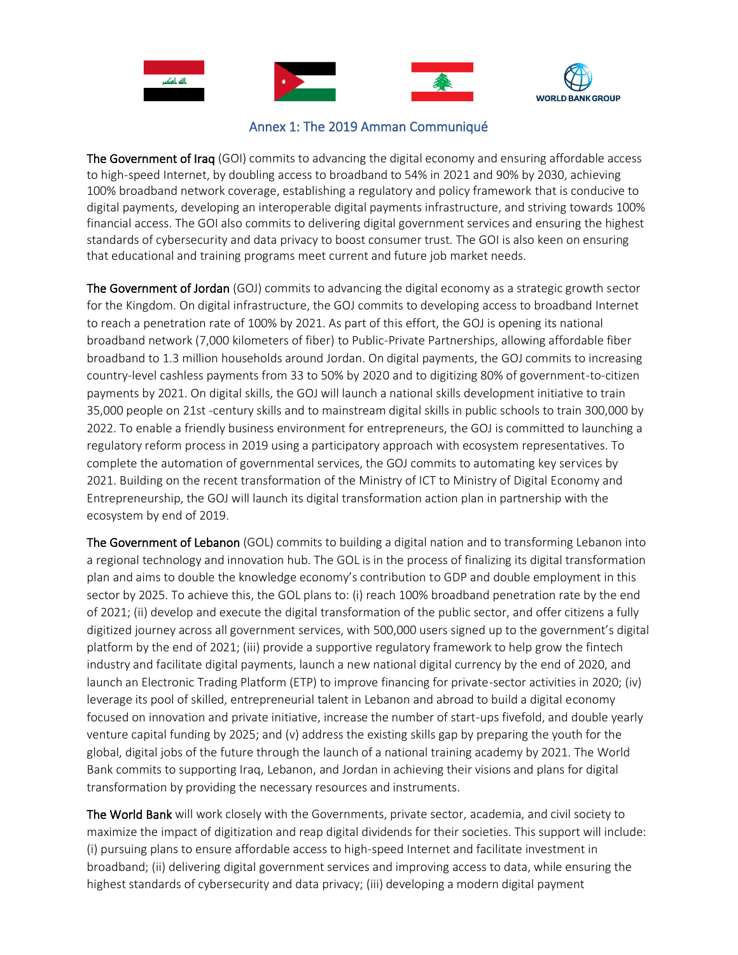

## Annex 1: The 2019 Amman Communiqué

The Government of Iraq (GOI) commits to advancing the digital economy and ensuring affordable access to high-speed Internet, by doubling access to broadband to 54% in 2021 and 90% by 2030, achieving 100% broadband network coverage, establishing a regulatory and policy framework that is conducive to digital payments, developing an interoperable digital payments infrastructure, and striving towards 100% financial access. The GOI also commits to delivering digital government services and ensuring the highest standards of cybersecurity and data privacy to boost consumer trust. The GOI is also keen on ensuring that educational and training programs meet current and future job market needs.

The Government of Jordan (GOJ) commits to advancing the digital economy as a strategic growth sector for the Kingdom. On digital infrastructure, the GOJ commits to developing access to broadband Internet to reach a penetration rate of 100% by 2021. As part of this effort, the GOJ is opening its national broadband network (7,000 kilometers of fiber) to Public-Private Partnerships, allowing affordable fiber broadband to 1.3 million households around Jordan. On digital payments, the GOJ commits to increasing country-level cashless payments from 33 to 50% by 2020 and to digitizing 80% of government-to-citizen payments by 2021. On digital skills, the GOJ will launch a national skills development initiative to train 35,000 people on 21st -century skills and to mainstream digital skills in public schools to train 300,000 by 2022. To enable a friendly business environment for entrepreneurs, the GOJ is committed to launching a regulatory reform process in 2019 using a participatory approach with ecosystem representatives. To complete the automation of governmental services, the GOJ commits to automating key services by 2021. Building on the recent transformation of the Ministry of ICT to Ministry of Digital Economy and Entrepreneurship, the GOJ will launch its digital transformation action plan in partnership with the ecosystem by end of 2019.

The Government of Lebanon (GOL) commits to building a digital nation and to transforming Lebanon into a regional technology and innovation hub. The GOL is in the process of finalizing its digital transformation plan and aims to double the knowledge economy's contribution to GDP and double employment in this sector by 2025. To achieve this, the GOL plans to: (i) reach 100% broadband penetration rate by the end of 2021; (ii) develop and execute the digital transformation of the public sector, and offer citizens a fully digitized journey across all government services, with 500,000 users signed up to the government's digital platform by the end of 2021; (iii) provide a supportive regulatory framework to help grow the fintech industry and facilitate digital payments, launch a new national digital currency by the end of 2020, and launch an Electronic Trading Platform (ETP) to improve financing for private-sector activities in 2020; (iv) leverage its pool of skilled, entrepreneurial talent in Lebanon and abroad to build a digital economy focused on innovation and private initiative, increase the number of start-ups fivefold, and double yearly venture capital funding by 2025; and (v) address the existing skills gap by preparing the youth for the global, digital jobs of the future through the launch of a national training academy by 2021. The World Bank commits to supporting Iraq, Lebanon, and Jordan in achieving their visions and plans for digital transformation by providing the necessary resources and instruments.

The World Bank will work closely with the Governments, private sector, academia, and civil society to maximize the impact of digitization and reap digital dividends for their societies. This support will include: (i) pursuing plans to ensure affordable access to high-speed Internet and facilitate investment in broadband; (ii) delivering digital government services and improving access to data, while ensuring the highest standards of cybersecurity and data privacy; (iii) developing a modern digital payment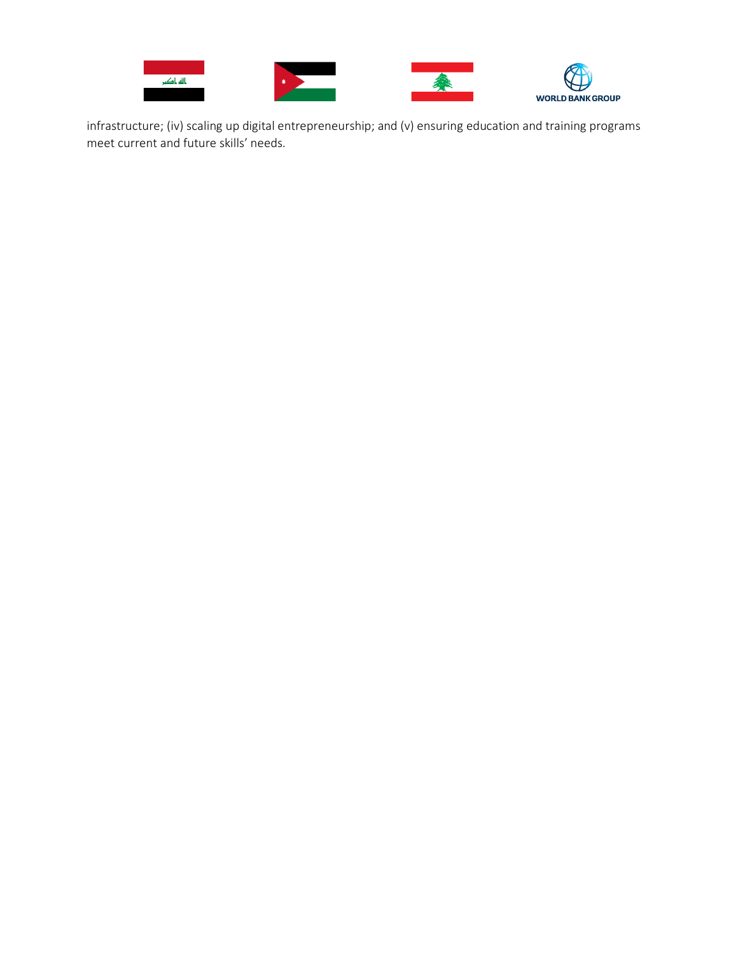







infrastructure; (iv) scaling up digital entrepreneurship; and (v) ensuring education and training programs meet current and future skills' needs.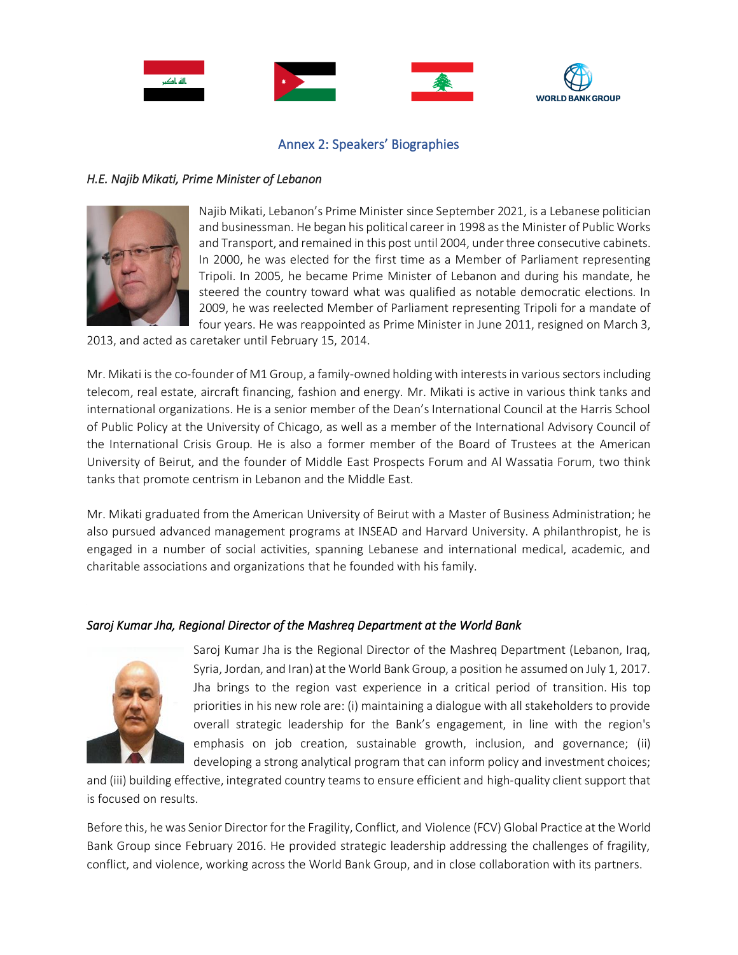

## Annex 2: Speakers' Biographies

#### *H.E. Najib Mikati, Prime Minister of Lebanon*



Najib Mikati, Lebanon's Prime Minister since September 2021, is a Lebanese politician and businessman. He began his political career in 1998 as the Minister of Public Works and Transport, and remained in this post until 2004, under three consecutive cabinets. In 2000, he was elected for the first time as a Member of Parliament representing Tripoli. In 2005, he became Prime Minister of Lebanon and during his mandate, he steered the country toward what was qualified as notable democratic elections. In 2009, he was reelected Member of Parliament representing Tripoli for a mandate of four years. He was reappointed as Prime Minister in June 2011, resigned on March 3,

2013, and acted as caretaker until February 15, 2014.

Mr. Mikati is the co-founder of M1 Group, a family-owned holding with interests in various sectors including telecom, real estate, aircraft financing, fashion and energy. Mr. Mikati is active in various think tanks and international organizations. He is a senior member of the Dean's International Council at the Harris School of Public Policy at the University of Chicago, as well as a member of the International Advisory Council of the International Crisis Group. He is also a former member of the Board of Trustees at the American University of Beirut, and the founder of Middle East Prospects Forum and Al Wassatia Forum, two think tanks that promote centrism in Lebanon and the Middle East.

Mr. Mikati graduated from the American University of Beirut with a Master of Business Administration; he also pursued advanced management programs at INSEAD and Harvard University. A philanthropist, he is engaged in a number of social activities, spanning Lebanese and international medical, academic, and charitable associations and organizations that he founded with his family.

#### *Saroj Kumar Jha, Regional Director of the Mashreq Department at the World Bank*



Saroj Kumar Jha is the Regional Director of the Mashreq Department (Lebanon, Iraq, Syria, Jordan, and Iran) at the World Bank Group, a position he assumed on July 1, 2017. Jha brings to the region vast experience in a critical period of transition. His top priorities in his new role are: (i) maintaining a dialogue with all stakeholders to provide overall strategic leadership for the Bank's engagement, in line with the region's emphasis on job creation, sustainable growth, inclusion, and governance; (ii) developing a strong analytical program that can inform policy and investment choices;

and (iii) building effective, integrated country teams to ensure efficient and high-quality client support that is focused on results.

Before this, he was Senior Director for the Fragility, Conflict, and Violence (FCV) Global Practice at the World Bank Group since February 2016. He provided strategic leadership addressing the challenges of fragility, conflict, and violence, working across the World Bank Group, and in close collaboration with its partners.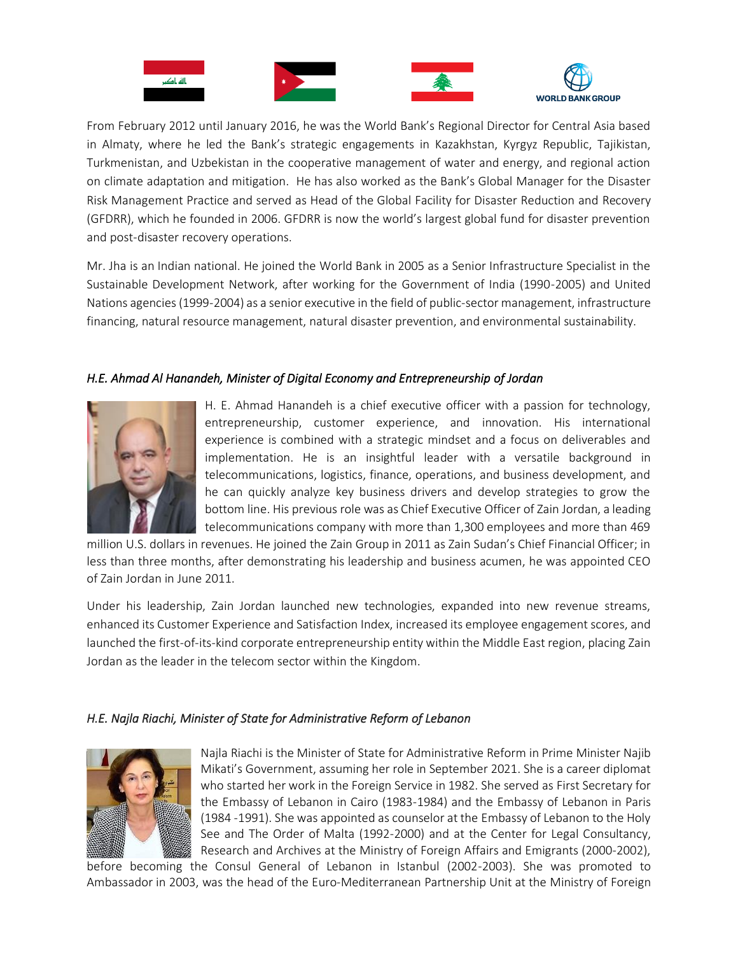

From February 2012 until January 2016, he was the World Bank's Regional Director for Central Asia based in Almaty, where he led the Bank's strategic engagements in Kazakhstan, Kyrgyz Republic, Tajikistan, Turkmenistan, and Uzbekistan in the cooperative management of water and energy, and regional action on climate adaptation and mitigation. He has also worked as the Bank's Global Manager for the Disaster Risk Management Practice and served as Head of the Global Facility for Disaster Reduction and Recovery (GFDRR), which he founded in 2006. GFDRR is now the world's largest global fund for disaster prevention and post-disaster recovery operations.

Mr. Jha is an Indian national. He joined the World Bank in 2005 as a Senior Infrastructure Specialist in the Sustainable Development Network, after working for the Government of India (1990-2005) and United Nations agencies (1999-2004) as a senior executive in the field of public-sector management, infrastructure financing, natural resource management, natural disaster prevention, and environmental sustainability.

## *H.E. Ahmad Al Hanandeh, Minister of Digital Economy and Entrepreneurship of Jordan*



H. E. Ahmad Hanandeh is a chief executive officer with a passion for technology, entrepreneurship, customer experience, and innovation. His international experience is combined with a strategic mindset and a focus on deliverables and implementation. He is an insightful leader with a versatile background in telecommunications, logistics, finance, operations, and business development, and he can quickly analyze key business drivers and develop strategies to grow the bottom line. His previous role was as Chief Executive Officer of Zain Jordan, a leading telecommunications company with more than 1,300 employees and more than 469

million U.S. dollars in revenues. He joined the Zain Group in 2011 as Zain Sudan's Chief Financial Officer; in less than three months, after demonstrating his leadership and business acumen, he was appointed CEO of Zain Jordan in June 2011.

Under his leadership, Zain Jordan launched new technologies, expanded into new revenue streams, enhanced its Customer Experience and Satisfaction Index, increased its employee engagement scores, and launched the first-of-its-kind corporate entrepreneurship entity within the Middle East region, placing Zain Jordan as the leader in the telecom sector within the Kingdom.

#### *H.E. Najla Riachi, Minister of State for Administrative Reform of Lebanon*



Najla Riachi is the Minister of State for Administrative Reform in Prime Minister Najib Mikati's Government, assuming her role in September 2021. She is a career diplomat who started her work in the Foreign Service in 1982. She served as First Secretary for the Embassy of Lebanon in Cairo (1983-1984) and the Embassy of Lebanon in Paris (1984 -1991). She was appointed as counselor at the Embassy of Lebanon to the Holy See and The Order of Malta (1992-2000) and at the Center for Legal Consultancy, Research and Archives at the Ministry of Foreign Affairs and Emigrants (2000-2002),

before becoming the Consul General of Lebanon in Istanbul (2002-2003). She was promoted to Ambassador in 2003, was the head of the Euro-Mediterranean Partnership Unit at the Ministry of Foreign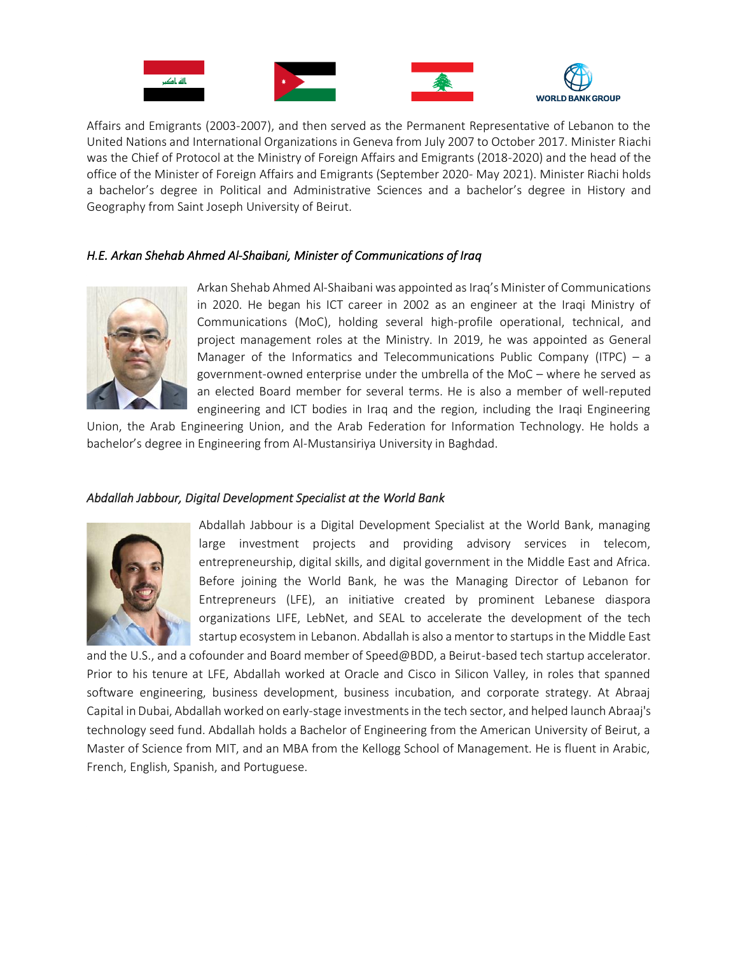

Affairs and Emigrants (2003-2007), and then served as the Permanent Representative of Lebanon to the United Nations and International Organizations in Geneva from July 2007 to October 2017. Minister Riachi was the Chief of Protocol at the Ministry of Foreign Affairs and Emigrants (2018-2020) and the head of the office of the Minister of Foreign Affairs and Emigrants (September 2020- May 2021). Minister Riachi holds a bachelor's degree in Political and Administrative Sciences and a bachelor's degree in History and Geography from Saint Joseph University of Beirut.

## *H.E. Arkan Shehab Ahmed Al-Shaibani, Minister of Communications of Iraq*



Arkan Shehab Ahmed Al-Shaibani was appointed as Iraq's Minister of Communications in 2020. He began his ICT career in 2002 as an engineer at the Iraqi Ministry of Communications (MoC), holding several high-profile operational, technical, and project management roles at the Ministry. In 2019, he was appointed as General Manager of the Informatics and Telecommunications Public Company (ITPC) – a government-owned enterprise under the umbrella of the MoC – where he served as an elected Board member for several terms. He is also a member of well-reputed engineering and ICT bodies in Iraq and the region, including the Iraqi Engineering

Union, the Arab Engineering Union, and the Arab Federation for Information Technology. He holds a bachelor's degree in Engineering from Al-Mustansiriya University in Baghdad.

## *Abdallah Jabbour, Digital Development Specialist at the World Bank*



Abdallah Jabbour is a Digital Development Specialist at the World Bank, managing large investment projects and providing advisory services in telecom, entrepreneurship, digital skills, and digital government in the Middle East and Africa. Before joining the World Bank, he was the Managing Director of Lebanon for Entrepreneurs (LFE), an initiative created by prominent Lebanese diaspora organizations LIFE, LebNet, and SEAL to accelerate the development of the tech startup ecosystem in Lebanon. Abdallah is also a mentor to startups in the Middle East

and the U.S., and a cofounder and Board member of Speed@BDD, a Beirut-based tech startup accelerator. Prior to his tenure at LFE, Abdallah worked at Oracle and Cisco in Silicon Valley, in roles that spanned software engineering, business development, business incubation, and corporate strategy. At Abraaj Capital in Dubai, Abdallah worked on early-stage investments in the tech sector, and helped launch Abraaj's technology seed fund. Abdallah holds a Bachelor of Engineering from the American University of Beirut, a Master of Science from MIT, and an MBA from the Kellogg School of Management. He is fluent in Arabic, French, English, Spanish, and Portuguese.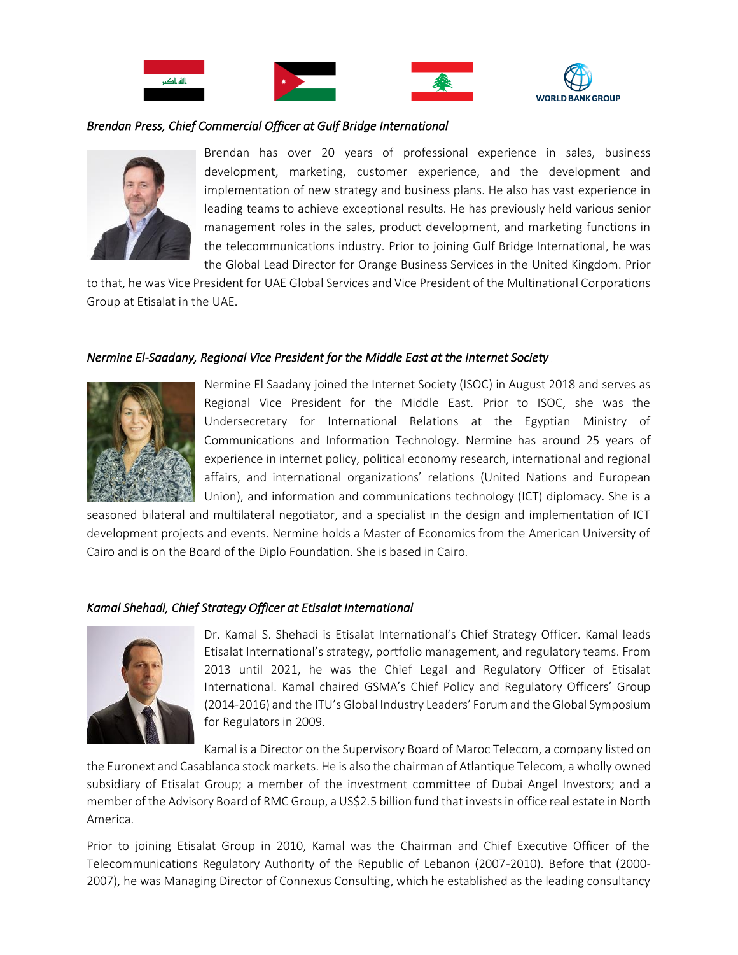







### *Brendan Press, Chief Commercial Officer at Gulf Bridge International*



Brendan has over 20 years of professional experience in sales, business development, marketing, customer experience, and the development and implementation of new strategy and business plans. He also has vast experience in leading teams to achieve exceptional results. He has previously held various senior management roles in the sales, product development, and marketing functions in the telecommunications industry. Prior to joining Gulf Bridge International, he was the Global Lead Director for Orange Business Services in the United Kingdom. Prior

to that, he was Vice President for UAE Global Services and Vice President of the Multinational Corporations Group at Etisalat in the UAE.

#### *Nermine El-Saadany, Regional Vice President for the Middle East at the Internet Society*



Nermine El Saadany joined the Internet Society (ISOC) in August 2018 and serves as Regional Vice President for the Middle East. Prior to ISOC, she was the Undersecretary for International Relations at the Egyptian Ministry of Communications and Information Technology. Nermine has around 25 years of experience in internet policy, political economy research, international and regional affairs, and international organizations' relations (United Nations and European Union), and information and communications technology (ICT) diplomacy. She is a

seasoned bilateral and multilateral negotiator, and a specialist in the design and implementation of ICT development projects and events. Nermine holds a Master of Economics from the American University of Cairo and is on the Board of the Diplo Foundation. She is based in Cairo.

#### *Kamal Shehadi, Chief Strategy Officer at Etisalat International*



Dr. Kamal S. Shehadi is Etisalat International's Chief Strategy Officer. Kamal leads Etisalat International's strategy, portfolio management, and regulatory teams. From 2013 until 2021, he was the Chief Legal and Regulatory Officer of Etisalat International. Kamal chaired GSMA's Chief Policy and Regulatory Officers' Group (2014-2016) and the ITU's Global Industry Leaders' Forum and the Global Symposium for Regulators in 2009.

Kamal is a Director on the Supervisory Board of Maroc Telecom, a company listed on the Euronext and Casablanca stock markets. He is also the chairman of Atlantique Telecom, a wholly owned subsidiary of Etisalat Group; a member of the investment committee of Dubai Angel Investors; and a member of the Advisory Board of RMC Group, a US\$2.5 billion fund that invests in office real estate in North America.

Prior to joining Etisalat Group in 2010, Kamal was the Chairman and Chief Executive Officer of the Telecommunications Regulatory Authority of the Republic of Lebanon (2007-2010). Before that (2000- 2007), he was Managing Director of Connexus Consulting, which he established as the leading consultancy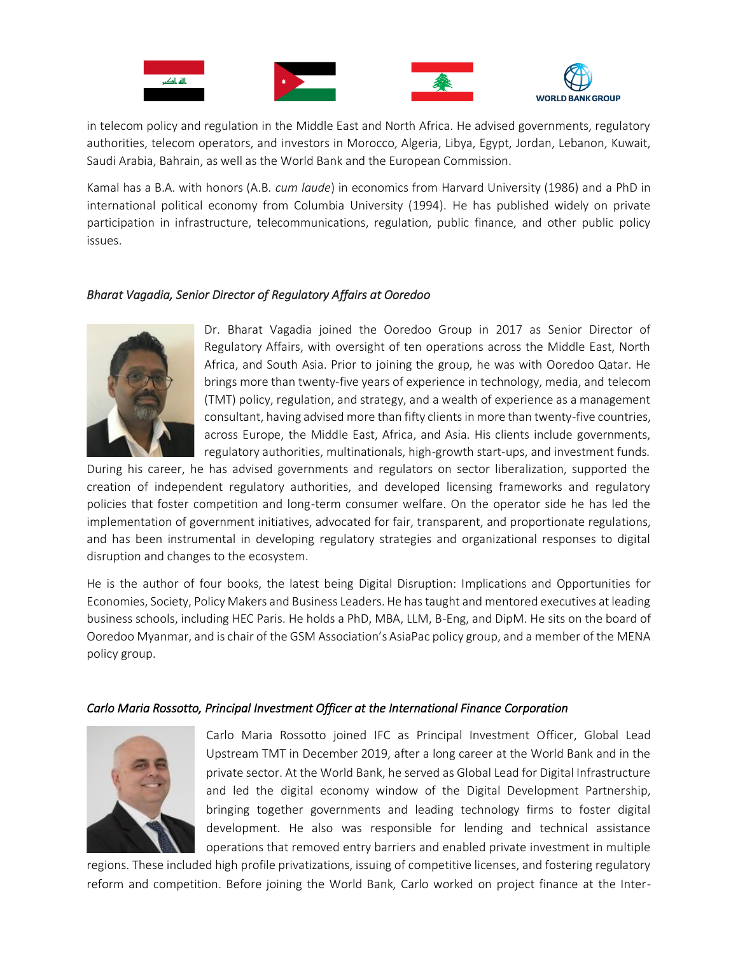

in telecom policy and regulation in the Middle East and North Africa. He advised governments, regulatory authorities, telecom operators, and investors in Morocco, Algeria, Libya, Egypt, Jordan, Lebanon, Kuwait, Saudi Arabia, Bahrain, as well as the World Bank and the European Commission.

Kamal has a B.A. with honors (A.B. *cum laude*) in economics from Harvard University (1986) and a PhD in international political economy from Columbia University (1994). He has published widely on private participation in infrastructure, telecommunications, regulation, public finance, and other public policy issues.

### *Bharat Vagadia, Senior Director of Regulatory Affairs at Ooredoo*



Dr. Bharat Vagadia joined the Ooredoo Group in 2017 as Senior Director of Regulatory Affairs, with oversight of ten operations across the Middle East, North Africa, and South Asia. Prior to joining the group, he was with Ooredoo Qatar. He brings more than twenty-five years of experience in technology, media, and telecom (TMT) policy, regulation, and strategy, and a wealth of experience as a management consultant, having advised more than fifty clients in more than twenty-five countries, across Europe, the Middle East, Africa, and Asia. His clients include governments, regulatory authorities, multinationals, high-growth start-ups, and investment funds.

During his career, he has advised governments and regulators on sector liberalization, supported the creation of independent regulatory authorities, and developed licensing frameworks and regulatory policies that foster competition and long-term consumer welfare. On the operator side he has led the implementation of government initiatives, advocated for fair, transparent, and proportionate regulations, and has been instrumental in developing regulatory strategies and organizational responses to digital disruption and changes to the ecosystem.

He is the author of four books, the latest being Digital Disruption: Implications and Opportunities for Economies, Society, Policy Makers and Business Leaders. He has taught and mentored executives at leading business schools, including HEC Paris. He holds a PhD, MBA, LLM, B-Eng, and DipM. He sits on the board of Ooredoo Myanmar, and is chair of the GSM Association's AsiaPac policy group, and a member of the MENA policy group.

#### *Carlo Maria Rossotto, Principal Investment Officer at the International Finance Corporation*



Carlo Maria Rossotto joined IFC as Principal Investment Officer, Global Lead Upstream TMT in December 2019, after a long career at the World Bank and in the private sector. At the World Bank, he served as Global Lead for Digital Infrastructure and led the digital economy window of the Digital Development Partnership, bringing together governments and leading technology firms to foster digital development. He also was responsible for lending and technical assistance operations that removed entry barriers and enabled private investment in multiple

regions. These included high profile privatizations, issuing of competitive licenses, and fostering regulatory reform and competition. Before joining the World Bank, Carlo worked on project finance at the Inter-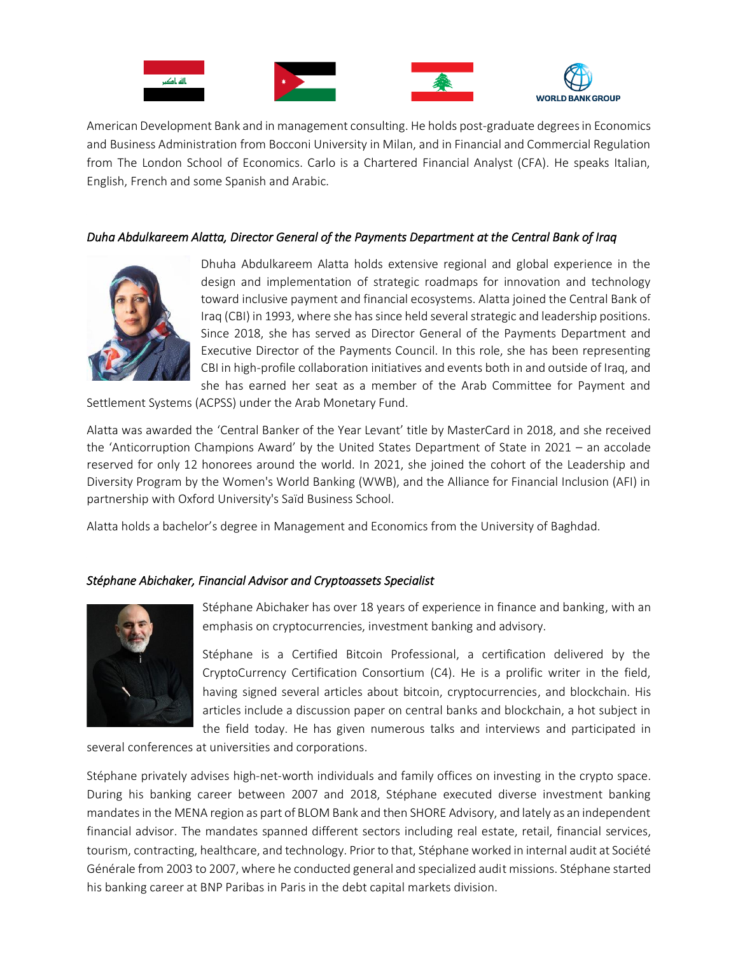







American Development Bank and in management consulting. He holds post-graduate degrees in Economics and Business Administration from Bocconi University in Milan, and in Financial and Commercial Regulation from The London School of Economics. Carlo is a Chartered Financial Analyst (CFA). He speaks Italian, English, French and some Spanish and Arabic.

## *Duha Abdulkareem Alatta, Director General of the Payments Department at the Central Bank of Iraq*



Dhuha Abdulkareem Alatta holds extensive regional and global experience in the design and implementation of strategic roadmaps for innovation and technology toward inclusive payment and financial ecosystems. Alatta joined the Central Bank of Iraq (CBI) in 1993, where she has since held several strategic and leadership positions. Since 2018, she has served as Director General of the Payments Department and Executive Director of the Payments Council. In this role, she has been representing CBI in high-profile collaboration initiatives and events both in and outside of Iraq, and she has earned her seat as a member of the Arab Committee for Payment and

Settlement Systems (ACPSS) under the Arab Monetary Fund.

Alatta was awarded the 'Central Banker of the Year Levant' title by MasterCard in 2018, and she received the 'Anticorruption Champions Award' by the United States Department of State in 2021 – an accolade reserved for only 12 honorees around the world. In 2021, she joined the cohort of the Leadership and Diversity Program by the Women's World Banking (WWB), and the Alliance for Financial Inclusion (AFI) in partnership with Oxford University's Saïd Business School.

Alatta holds a bachelor's degree in Management and Economics from the University of Baghdad.

## *Stéphane Abichaker, Financial Advisor and Cryptoassets Specialist*



Stéphane Abichaker has over 18 years of experience in finance and banking, with an emphasis on cryptocurrencies, investment banking and advisory.

Stéphane is a Certified Bitcoin Professional, a certification delivered by the CryptoCurrency Certification Consortium (C4). He is a prolific writer in the field, having signed several articles about bitcoin, cryptocurrencies, and blockchain. His articles include a discussion paper on central banks and blockchain, a hot subject in the field today. He has given numerous talks and interviews and participated in

several conferences at universities and corporations.

Stéphane privately advises high-net-worth individuals and family offices on investing in the crypto space. During his banking career between 2007 and 2018, Stéphane executed diverse investment banking mandates in the MENA region as part of BLOM Bank and then SHORE Advisory, and lately as an independent financial advisor. The mandates spanned different sectors including real estate, retail, financial services, tourism, contracting, healthcare, and technology. Prior to that, Stéphane worked in internal audit at Société Générale from 2003 to 2007, where he conducted general and specialized audit missions. Stéphane started his banking career at BNP Paribas in Paris in the debt capital markets division.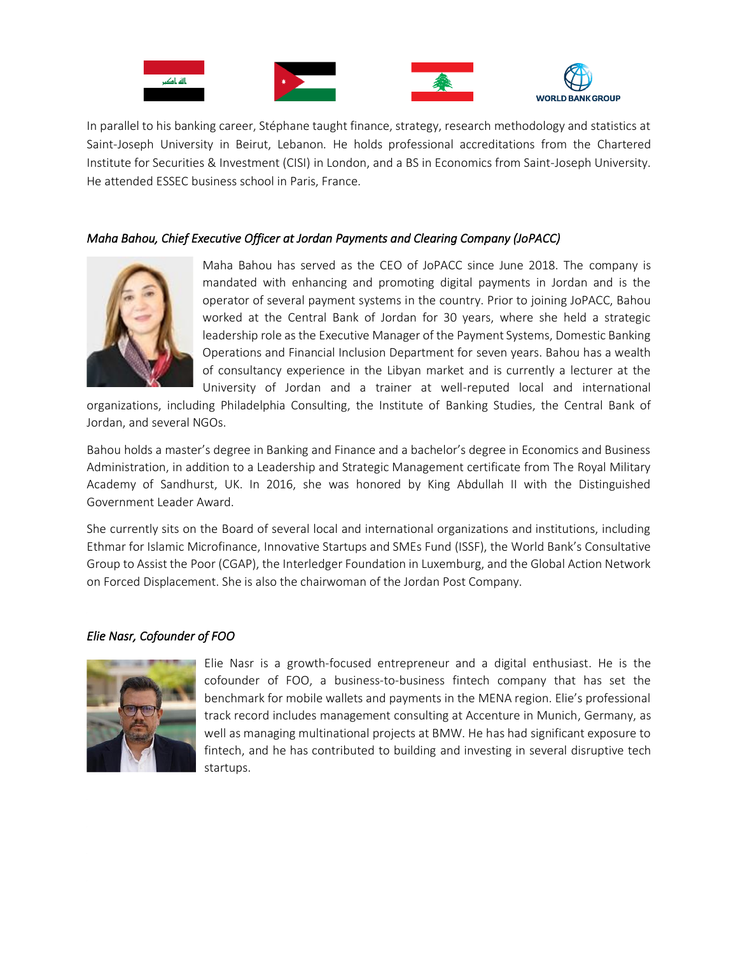





In parallel to his banking career, Stéphane taught finance, strategy, research methodology and statistics at Saint-Joseph University in Beirut, Lebanon. He holds professional accreditations from the Chartered Institute for Securities & Investment (CISI) in London, and a BS in Economics from Saint-Joseph University. He attended ESSEC business school in Paris, France.

### *Maha Bahou, Chief Executive Officer at Jordan Payments and Clearing Company (JoPACC)*



Maha Bahou has served as the CEO of JoPACC since June 2018. The company is mandated with enhancing and promoting digital payments in Jordan and is the operator of several payment systems in the country. Prior to joining JoPACC, Bahou worked at the Central Bank of Jordan for 30 years, where she held a strategic leadership role as the Executive Manager of the Payment Systems, Domestic Banking Operations and Financial Inclusion Department for seven years. Bahou has a wealth of consultancy experience in the Libyan market and is currently a lecturer at the University of Jordan and a trainer at well-reputed local and international

organizations, including Philadelphia Consulting, the Institute of Banking Studies, the Central Bank of Jordan, and several NGOs.

Bahou holds a master's degree in Banking and Finance and a bachelor's degree in Economics and Business Administration, in addition to a Leadership and Strategic Management certificate from The Royal Military Academy of Sandhurst, UK. In 2016, she was honored by King Abdullah II with the Distinguished Government Leader Award.

She currently sits on the Board of several local and international organizations and institutions, including Ethmar for Islamic Microfinance, Innovative Startups and SMEs Fund (ISSF), the World Bank's Consultative Group to Assist the Poor (CGAP), the Interledger Foundation in Luxemburg, and the Global Action Network on Forced Displacement. She is also the chairwoman of the Jordan Post Company.

#### *Elie Nasr, Cofounder of FOO*



Elie Nasr is a growth-focused entrepreneur and a digital enthusiast. He is the cofounder of FOO, a business-to-business fintech company that has set the benchmark for mobile wallets and payments in the MENA region. Elie's professional track record includes management consulting at Accenture in Munich, Germany, as well as managing multinational projects at BMW. He has had significant exposure to fintech, and he has contributed to building and investing in several disruptive tech startups.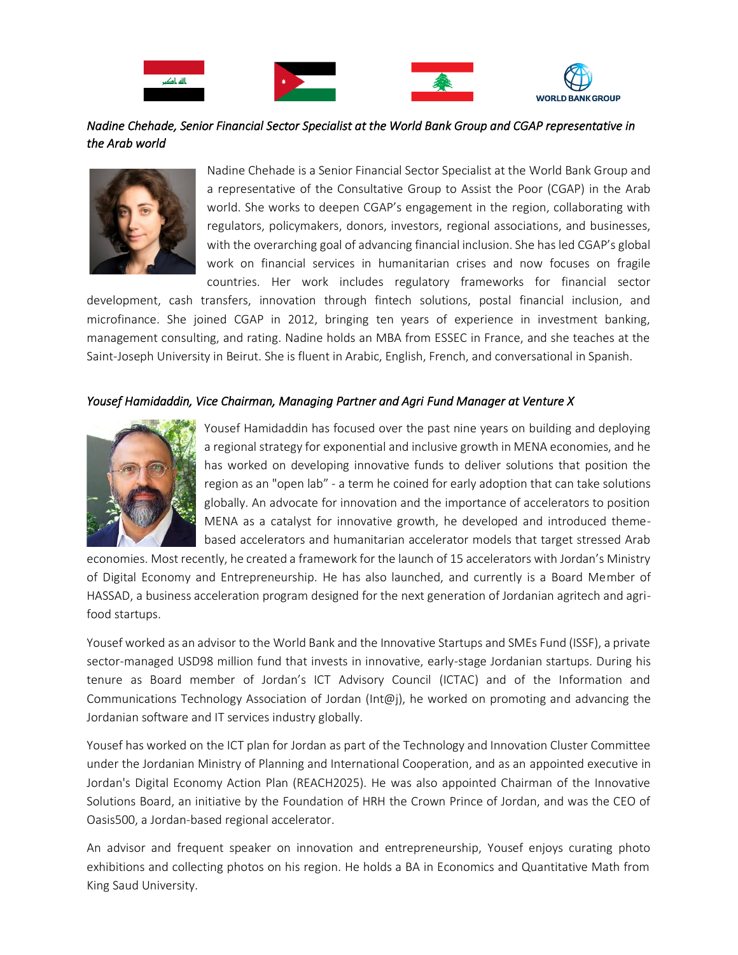

## *Nadine Chehade, Senior Financial Sector Specialist at the World Bank Group and CGAP representative in the Arab world*



Nadine Chehade is a Senior Financial Sector Specialist at the World Bank Group and a representative of the Consultative Group to Assist the Poor (CGAP) in the Arab world. She works to deepen CGAP's engagement in the region, collaborating with regulators, policymakers, donors, investors, regional associations, and businesses, with the overarching goal of advancing financial inclusion. She has led CGAP's global work on financial services in humanitarian crises and now focuses on fragile countries. Her work includes regulatory frameworks for financial sector

development, cash transfers, innovation through fintech solutions, postal financial inclusion, and microfinance. She joined CGAP in 2012, bringing ten years of experience in investment banking, management consulting, and rating. Nadine holds an MBA from ESSEC in France, and she teaches at the Saint-Joseph University in Beirut. She is fluent in Arabic, English, French, and conversational in Spanish.

#### *Yousef Hamidaddin, Vice Chairman, Managing Partner and Agri Fund Manager at Venture X*



Yousef Hamidaddin has focused over the past nine years on building and deploying a regional strategy for exponential and inclusive growth in MENA economies, and he has worked on developing innovative funds to deliver solutions that position the region as an "open lab" - a term he coined for early adoption that can take solutions globally. An advocate for innovation and the importance of accelerators to position MENA as a catalyst for innovative growth, he developed and introduced themebased accelerators and humanitarian accelerator models that target stressed Arab

economies. Most recently, he created a framework for the launch of 15 accelerators with Jordan's Ministry of Digital Economy and Entrepreneurship. He has also launched, and currently is a Board Member of HASSAD, a business acceleration program designed for the next generation of Jordanian agritech and agrifood startups.

Yousef worked as an advisor to the World Bank and the Innovative Startups and SMEs Fund (ISSF), a private sector-managed USD98 million fund that invests in innovative, early-stage Jordanian startups. During his tenure as Board member of Jordan's ICT Advisory Council (ICTAC) and of the Information and Communications Technology Association of Jordan (Int@j), he worked on promoting and advancing the Jordanian software and IT services industry globally.

Yousef has worked on the ICT plan for Jordan as part of the Technology and Innovation Cluster Committee under the Jordanian Ministry of Planning and International Cooperation, and as an appointed executive in Jordan's Digital Economy Action Plan (REACH2025). He was also appointed Chairman of the Innovative Solutions Board, an initiative by the Foundation of HRH the Crown Prince of Jordan, and was the CEO of Oasis500, a Jordan-based regional accelerator.

An advisor and frequent speaker on innovation and entrepreneurship, Yousef enjoys curating photo exhibitions and collecting photos on his region. He holds a BA in Economics and Quantitative Math from King Saud University.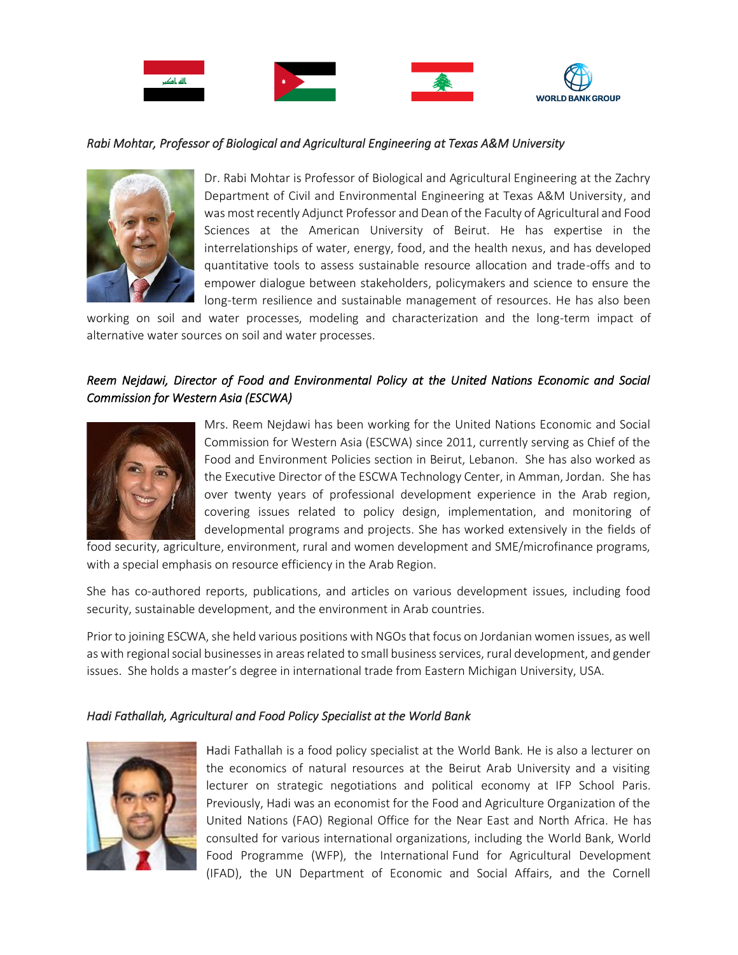

## *Rabi Mohtar, Professor of Biological and Agricultural Engineering at Texas A&M University*



Dr. Rabi Mohtar is Professor of Biological and Agricultural Engineering at the Zachry Department of Civil and Environmental Engineering at Texas A&M University, and was most recently Adjunct Professor and Dean of the Faculty of Agricultural and Food Sciences at the American University of Beirut. He has expertise in the interrelationships of water, energy, food, and the health nexus, and has developed quantitative tools to assess sustainable resource allocation and trade-offs and to empower dialogue between stakeholders, policymakers and science to ensure the long-term resilience and sustainable management of resources. He has also been

working on soil and water processes, modeling and characterization and the long-term impact of alternative water sources on soil and water processes.

## *Reem Nejdawi, Director of Food and Environmental Policy at the United Nations Economic and Social Commission for Western Asia (ESCWA)*



Mrs. Reem Nejdawi has been working for the United Nations Economic and Social Commission for Western Asia (ESCWA) since 2011, currently serving as Chief of the Food and Environment Policies section in Beirut, Lebanon. She has also worked as the Executive Director of the ESCWA Technology Center, in Amman, Jordan. She has over twenty years of professional development experience in the Arab region, covering issues related to policy design, implementation, and monitoring of developmental programs and projects. She has worked extensively in the fields of

food security, agriculture, environment, rural and women development and SME/microfinance programs, with a special emphasis on resource efficiency in the Arab Region.

She has co-authored reports, publications, and articles on various development issues, including food security, sustainable development, and the environment in Arab countries.

Prior to joining ESCWA, she held various positions with NGOs that focus on Jordanian women issues, as well as with regional social businesses in areas related to small business services, rural development, and gender issues. She holds a master's degree in international trade from Eastern Michigan University, USA.

#### *Hadi Fathallah, Agricultural and Food Policy Specialist at the World Bank*



Hadi Fathallah is a food policy specialist at the World Bank. He is also a lecturer on the economics of natural resources at the Beirut Arab University and a visiting lecturer on strategic negotiations and political economy at IFP School Paris. Previously, Hadi was an economist for the Food and Agriculture Organization of the United Nations (FAO) Regional Office for the Near East and North Africa. He has consulted for various international organizations, including the World Bank, World Food Programme (WFP), the International Fund for Agricultural Development (IFAD), the UN Department of Economic and Social Affairs, and the Cornell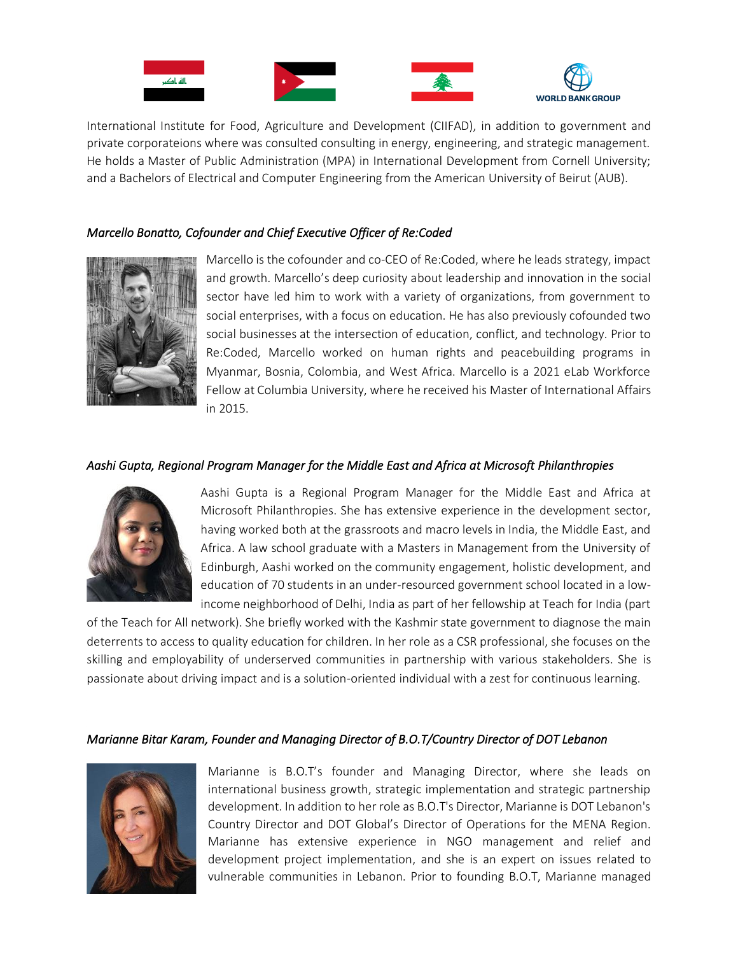

International Institute for Food, Agriculture and Development (CIIFAD), in addition to government and private corporateions where was consulted consulting in energy, engineering, and strategic management. He holds a Master of Public Administration (MPA) in International Development from Cornell University; and a Bachelors of Electrical and Computer Engineering from the American University of Beirut (AUB).

## *Marcello Bonatto, Cofounder and Chief Executive Officer of Re:Coded*



Marcello is the cofounder and co-CEO of Re:Coded, where he leads strategy, impact and growth. Marcello's deep curiosity about leadership and innovation in the social sector have led him to work with a variety of organizations, from government to social enterprises, with a focus on education. He has also previously cofounded two social businesses at the intersection of education, conflict, and technology. Prior to Re:Coded, Marcello worked on human rights and peacebuilding programs in Myanmar, Bosnia, Colombia, and West Africa. Marcello is a 2021 eLab Workforce Fellow at Columbia University, where he received his Master of International Affairs in 2015.

#### *Aashi Gupta, Regional Program Manager for the Middle East and Africa at Microsoft Philanthropies*



Aashi Gupta is a Regional Program Manager for the Middle East and Africa at Microsoft Philanthropies. She has extensive experience in the development sector, having worked both at the grassroots and macro levels in India, the Middle East, and Africa. A law school graduate with a Masters in Management from the University of Edinburgh, Aashi worked on the community engagement, holistic development, and education of 70 students in an under-resourced government school located in a lowincome neighborhood of Delhi, India as part of her fellowship at Teach for India (part

of the Teach for All network). She briefly worked with the Kashmir state government to diagnose the main deterrents to access to quality education for children. In her role as a CSR professional, she focuses on the skilling and employability of underserved communities in partnership with various stakeholders. She is passionate about driving impact and is a solution-oriented individual with a zest for continuous learning.

#### *Marianne Bitar Karam, Founder and Managing Director of B.O.T/Country Director of DOT Lebanon*



Marianne is B.O.T's founder and Managing Director, where she leads on international business growth, strategic implementation and strategic partnership development. In addition to her role as B.O.T's Director, Marianne is DOT Lebanon's Country Director and DOT Global's Director of Operations for the MENA Region. Marianne has extensive experience in NGO management and relief and development project implementation, and she is an expert on issues related to vulnerable communities in Lebanon. Prior to founding B.O.T, Marianne managed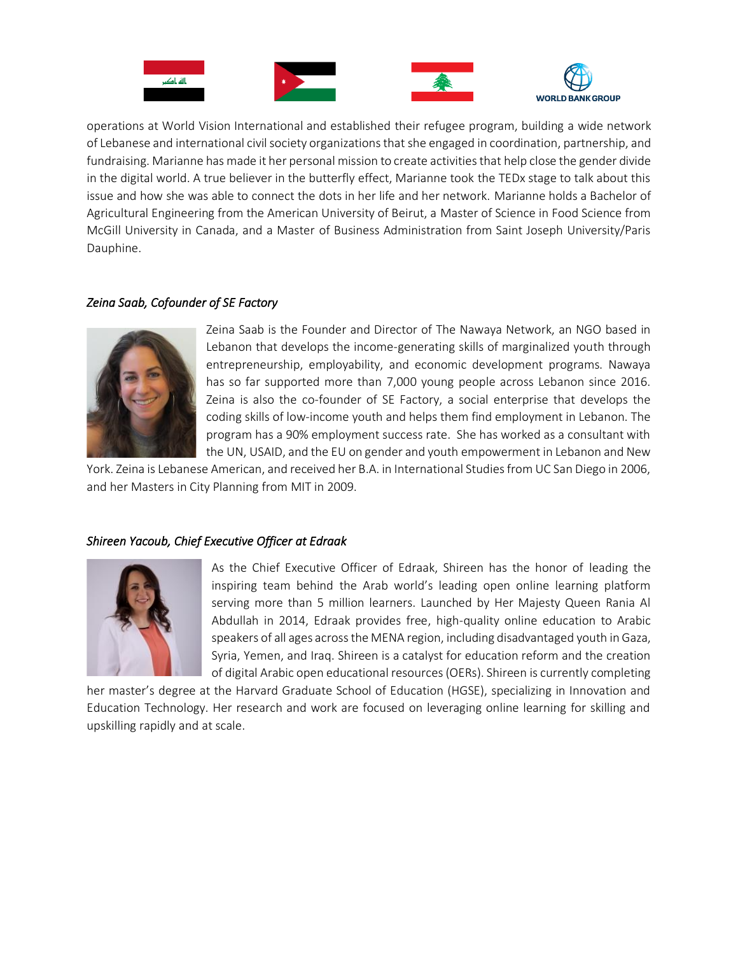

operations at World Vision International and established their refugee program, building a wide network of Lebanese and international civil society organizations that she engaged in coordination, partnership, and fundraising. Marianne has made it her personal mission to create activities that help close the gender divide in the digital world. A true believer in the butterfly effect, Marianne took the TEDx stage to talk about this issue and how she was able to connect the dots in her life and her network. Marianne holds a Bachelor of Agricultural Engineering from the American University of Beirut, a Master of Science in Food Science from McGill University in Canada, and a Master of Business Administration from Saint Joseph University/Paris Dauphine.

## *Zeina Saab, Cofounder of SE Factory*



Zeina Saab is the Founder and Director of The Nawaya Network, an NGO based in Lebanon that develops the income-generating skills of marginalized youth through entrepreneurship, employability, and economic development programs. Nawaya has so far supported more than 7,000 young people across Lebanon since 2016. Zeina is also the co-founder of SE Factory, a social enterprise that develops the coding skills of low-income youth and helps them find employment in Lebanon. The program has a 90% employment success rate. She has worked as a consultant with the UN, USAID, and the EU on gender and youth empowerment in Lebanon and New

York. Zeina is Lebanese American, and received her B.A. in International Studies from UC San Diego in 2006, and her Masters in City Planning from MIT in 2009.

## *Shireen Yacoub, Chief Executive Officer at Edraak*



As the Chief Executive Officer of Edraak, Shireen has the honor of leading the inspiring team behind the Arab world's leading open online learning platform serving more than 5 million learners. Launched by Her Majesty Queen Rania Al Abdullah in 2014, Edraak provides free, high-quality online education to Arabic speakers of all ages across the MENA region, including disadvantaged youth in Gaza, Syria, Yemen, and Iraq. Shireen is a catalyst for education reform and the creation of digital Arabic open educational resources (OERs). Shireen is currently completing

her master's degree at the Harvard Graduate School of Education (HGSE), specializing in Innovation and Education Technology. Her research and work are focused on leveraging online learning for skilling and upskilling rapidly and at scale.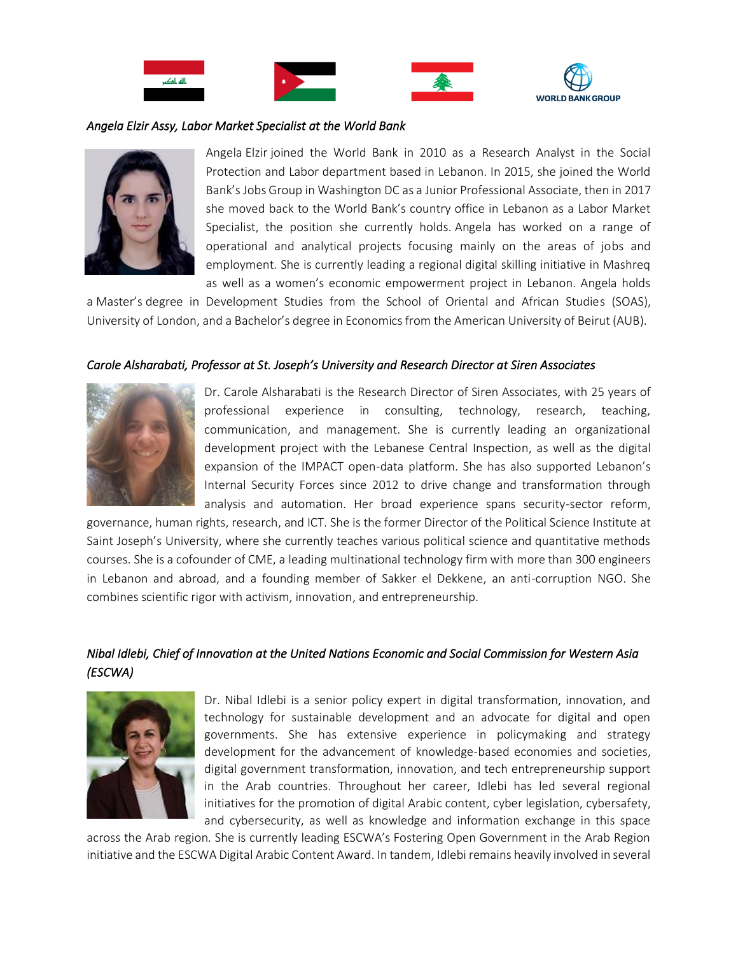







#### *Angela Elzir Assy, Labor Market Specialist at the World Bank*



Angela Elzir joined the World Bank in 2010 as a Research Analyst in the Social Protection and Labor department based in Lebanon. In 2015, she joined the World Bank's Jobs Group in Washington DC as a Junior Professional Associate, then in 2017 she moved back to the World Bank's country office in Lebanon as a Labor Market Specialist, the position she currently holds. Angela has worked on a range of operational and analytical projects focusing mainly on the areas of jobs and employment. She is currently leading a regional digital skilling initiative in Mashreq as well as a women's economic empowerment project in Lebanon. Angela holds

a Master's degree in Development Studies from the School of Oriental and African Studies (SOAS), University of London, and a Bachelor's degree in Economics from the American University of Beirut (AUB).

#### *Carole Alsharabati, Professor at St. Joseph's University and Research Director at Siren Associates*



Dr. Carole Alsharabati is the Research Director of Siren Associates, with 25 years of professional experience in consulting, technology, research, teaching, communication, and management. She is currently leading an organizational development project with the Lebanese Central Inspection, as well as the digital expansion of the IMPACT open-data platform. She has also supported Lebanon's Internal Security Forces since 2012 to drive change and transformation through analysis and automation. Her broad experience spans security-sector reform,

governance, human rights, research, and ICT. She is the former Director of the Political Science Institute at Saint Joseph's University, where she currently teaches various political science and quantitative methods courses. She is a cofounder of CME, a leading multinational technology firm with more than 300 engineers in Lebanon and abroad, and a founding member of Sakker el Dekkene, an anti-corruption NGO. She combines scientific rigor with activism, innovation, and entrepreneurship.

# *Nibal Idlebi, Chief of Innovation at the United Nations Economic and Social Commission for Western Asia (ESCWA)*



Dr. Nibal Idlebi is a senior policy expert in digital transformation, innovation, and technology for sustainable development and an advocate for digital and open governments. She has extensive experience in policymaking and strategy development for the advancement of knowledge-based economies and societies, digital government transformation, innovation, and tech entrepreneurship support in the Arab countries. Throughout her career, Idlebi has led several regional initiatives for the promotion of digital Arabic content, cyber legislation, cybersafety, and cybersecurity, as well as knowledge and information exchange in this space

across the Arab region. She is currently leading ESCWA's Fostering Open Government in the Arab Region initiative and the ESCWA Digital Arabic Content Award. In tandem, Idlebi remains heavily involved in several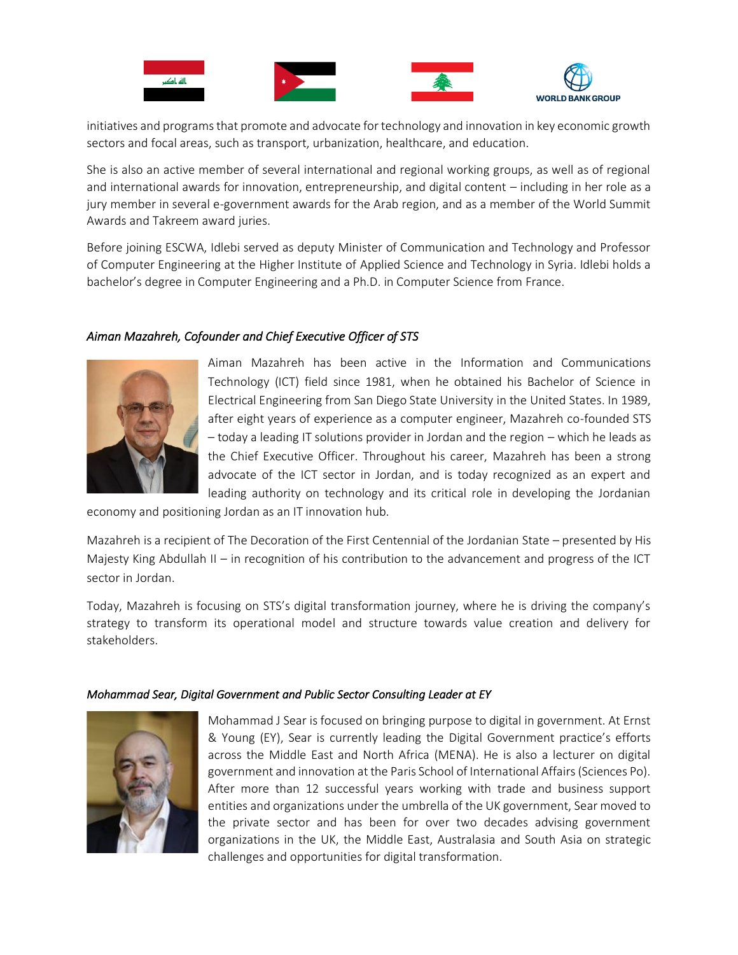

initiatives and programs that promote and advocate for technology and innovation in key economic growth sectors and focal areas, such as transport, urbanization, healthcare, and education.

She is also an active member of several international and regional working groups, as well as of regional and international awards for innovation, entrepreneurship, and digital content – including in her role as a jury member in several e-government awards for the Arab region, and as a member of the World Summit Awards and Takreem award juries.

Before joining ESCWA, Idlebi served as deputy Minister of Communication and Technology and Professor of Computer Engineering at the Higher Institute of Applied Science and Technology in Syria. Idlebi holds a bachelor's degree in Computer Engineering and a Ph.D. in Computer Science from France.

## *Aiman Mazahreh, Cofounder and Chief Executive Officer of STS*



Aiman Mazahreh has been active in the Information and Communications Technology (ICT) field since 1981, when he obtained his Bachelor of Science in Electrical Engineering from San Diego State University in the United States. In 1989, after eight years of experience as a computer engineer, Mazahreh co-founded STS – today a leading IT solutions provider in Jordan and the region – which he leads as the Chief Executive Officer. Throughout his career, Mazahreh has been a strong advocate of the ICT sector in Jordan, and is today recognized as an expert and leading authority on technology and its critical role in developing the Jordanian

economy and positioning Jordan as an IT innovation hub.

Mazahreh is a recipient of The Decoration of the First Centennial of the Jordanian State – presented by His Majesty King Abdullah II – in recognition of his contribution to the advancement and progress of the ICT sector in Jordan.

Today, Mazahreh is focusing on STS's digital transformation journey, where he is driving the company's strategy to transform its operational model and structure towards value creation and delivery for stakeholders.

#### *Mohammad Sear, Digital Government and Public Sector Consulting Leader at EY*



Mohammad J Sear is focused on bringing purpose to digital in government. At Ernst & Young (EY), Sear is currently leading the Digital Government practice's efforts across the Middle East and North Africa (MENA). He is also a lecturer on digital government and innovation at the Paris School of International Affairs (Sciences Po). After more than 12 successful years working with trade and business support entities and organizations under the umbrella of the UK government, Sear moved to the private sector and has been for over two decades advising government organizations in the UK, the Middle East, Australasia and South Asia on strategic challenges and opportunities for digital transformation.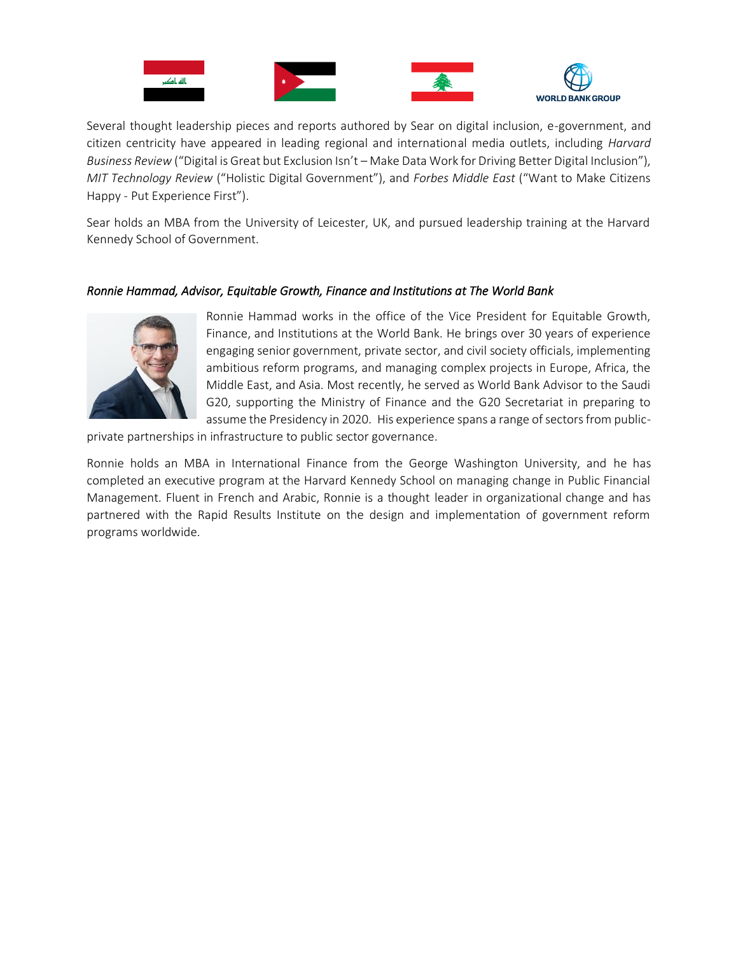

Several thought leadership pieces and reports authored by Sear on digital inclusion, e-government, and citizen centricity have appeared in leading regional and international media outlets, including *Harvard Business Review* ("Digital is Great but Exclusion Isn't – Make Data Work for Driving Better Digital Inclusion"), *MIT Technology Review* ("Holistic Digital Government"), and *Forbes Middle East* ("Want to Make Citizens Happy - Put Experience First").

Sear holds an MBA from the University of Leicester, UK, and pursued leadership training at the Harvard Kennedy School of Government.

### *Ronnie Hammad, Advisor, Equitable Growth, Finance and Institutions at The World Bank*



Ronnie Hammad works in the office of the Vice President for Equitable Growth, Finance, and Institutions at the World Bank. He brings over 30 years of experience engaging senior government, private sector, and civil society officials, implementing ambitious reform programs, and managing complex projects in Europe, Africa, the Middle East, and Asia. Most recently, he served as World Bank Advisor to the Saudi G20, supporting the Ministry of Finance and the G20 Secretariat in preparing to assume the Presidency in 2020. His experience spans a range of sectors from public-

private partnerships in infrastructure to public sector governance.

Ronnie holds an MBA in International Finance from the George Washington University, and he has completed an executive program at the Harvard Kennedy School on managing change in Public Financial Management. Fluent in French and Arabic, Ronnie is a thought leader in organizational change and has partnered with the Rapid Results Institute on the design and implementation of government reform programs worldwide.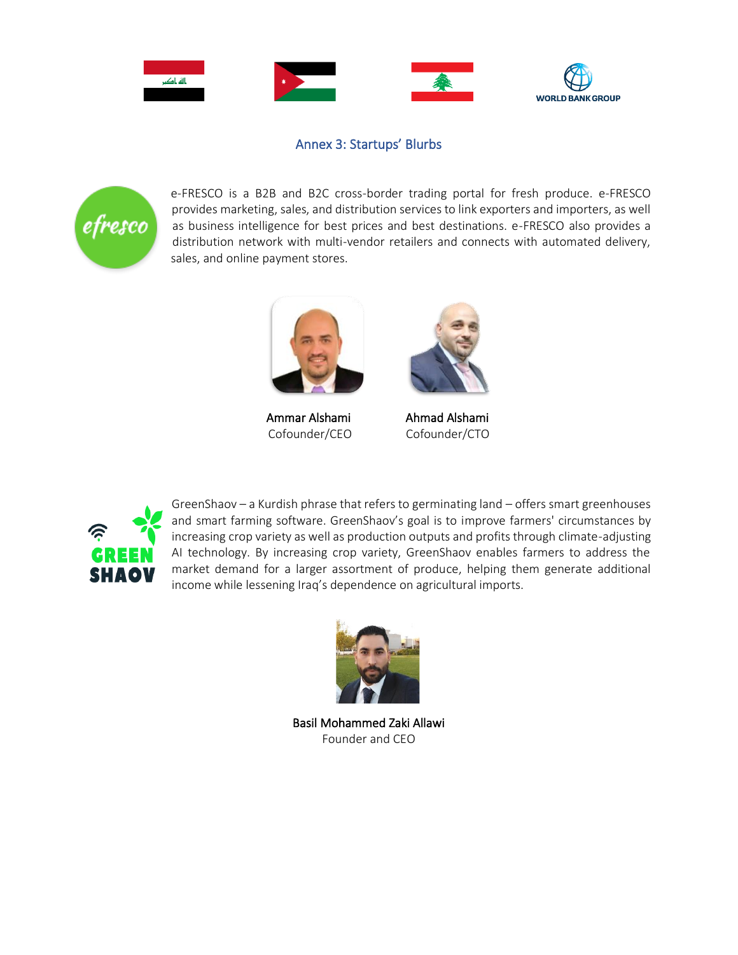

# Annex 3: Startups' Blurbs



 e-FRESCO is a B2B and B2C cross-border trading portal for fresh produce. e-FRESCO provides marketing, sales, and distribution services to link exporters and importers, as well as business intelligence for best prices and best destinations. e-FRESCO also provides a distribution network with multi-vendor retailers and connects with automated delivery, sales, and online payment stores.



Ammar Alshami **Ahmad Alshami** Cofounder/CEO Cofounder/CTO





GreenShaov – a Kurdish phrase that refers to germinating land – offers smart greenhouses and smart farming software. GreenShaov's goal is to improve farmers' circumstances by increasing crop variety as well as production outputs and profits through climate-adjusting AI technology. By increasing crop variety, GreenShaov enables farmers to address the market demand for a larger assortment of produce, helping them generate additional income while lessening Iraq's dependence on agricultural imports.



Basil Mohammed Zaki Allawi Founder and CEO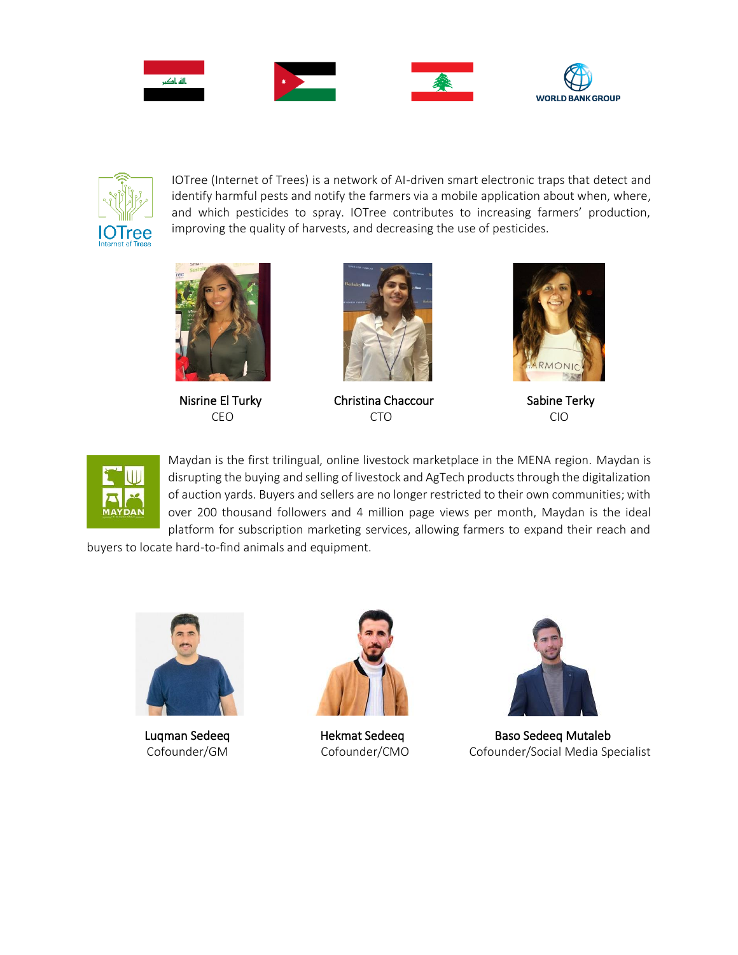









IOTree (Internet of Trees) is a network of AI-driven smart electronic traps that detect and identify harmful pests and notify the farmers via a mobile application about when, where, and which pesticides to spray. IOTree contributes to increasing farmers' production, improving the quality of harvests, and decreasing the use of pesticides.





Nisrine El Turky **Christina Chaccour** Sabine Terky CEO CTO CIO





Maydan is the first trilingual, online livestock marketplace in the MENA region. Maydan is disrupting the buying and selling of livestock and AgTech products through the digitalization of auction yards. Buyers and sellers are no longer restricted to their own communities; with over 200 thousand followers and 4 million page views per month, Maydan is the ideal platform for subscription marketing services, allowing farmers to expand their reach and

buyers to locate hard-to-find animals and equipment.







Luqman Sedeeq **Acker Hekmat Sedeeq** Baso Sedeeq Mutaleb Cofounder/GM Cofounder/CMO Cofounder/Social Media Specialist